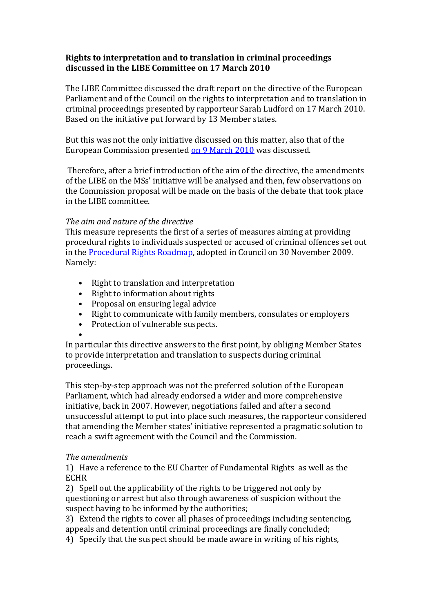## **Rights to interpretation and to translation in criminal proceedings discussed in the LIBE Committee on 17 March 2010**

The LIBE Committee discussed the draft report on the directive of the European Parliament and of the Council on the rights to interpretation and to translation in criminal proceedings presented by rapporteur Sarah Ludford on 17 March 2010. Based on the initiative put forward by 13 Member states.

But this was not the only initiative discussed on this matter, also that of the European Commission presented on 9 March 2010 was discussed.

 Therefore, after a brief introduction of the aim of the directive, the amendments of the LIBE on the MSs' initiative will be analysed and then, few observations on the Commission proposal will be made on the basis of the debate that took place in the LIBE committee.

### *The aim and nature of the directive*

This measure represents the first of a series of measures aiming at providing procedural rights to individuals suspected or accused of criminal offences set out in the Procedural Rights Roadmap, adopted in Council on 30 November 2009. Namely:

- Right to translation and interpretation
- Right to information about rights
- Proposal on ensuring legal advice
- Right to communicate with family members, consulates or employers
- Protection of vulnerable suspects.

• In particular this directive answers to the first point, by obliging Member States to provide interpretation and translation to suspects during criminal proceedings.

This step-by-step approach was not the preferred solution of the European Parliament, which had already endorsed a wider and more comprehensive initiative, back in 2007. However, negotiations failed and after a second unsuccessful attempt to put into place such measures, the rapporteur considered that amending the Member states' initiative represented a pragmatic solution to reach a swift agreement with the Council and the Commission.

### *The amendments*

1) Have a reference to the EU Charter of Fundamental Rights as well as the ECHR

2) Spell out the applicability of the rights to be triggered not only by questioning or arrest but also through awareness of suspicion without the suspect having to be informed by the authorities;

3) Extend the rights to cover all phases of proceedings including sentencing, appeals and detention until criminal proceedings are finally concluded;

4) Specify that the suspect should be made aware in writing of his rights,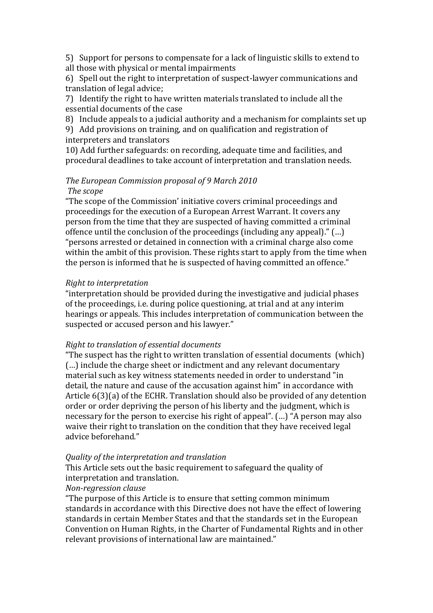5) Support for persons to compensate for a lack of linguistic skills to extend to all those with physical or mental impairments

6) Spell out the right to interpretation of suspect‐lawyer communications and translation of legal advice;

7) Identify the right to have written materials translated to include all the essential documents of the case

8) Include appeals to a judicial authority and a mechanism for complaints set up

9) Add provisions on training, and on qualification and registration of interpreters and translators

10) Add further safeguards: on recording, adequate time and facilities, and procedural deadlines to take account of interpretation and translation needs.

# *The European Commission proposal of 9 March 2010*

## *The scope*

"The scope of the Commission' initiative covers criminal proceedings and proceedings for the execution of a European Arrest Warrant. It covers any person from the time that they are suspected of having committed a criminal offence until the conclusion of the proceedings (including any appeal)." (…) "persons arrested or detained in connection with a criminal charge also come within the ambit of this provision. These rights start to apply from the time when the person is informed that he is suspected of having committed an offence."

## *Right to interpretation*

"interpretation should be provided during the investigative and judicial phases of the proceedings, i.e. during police questioning, at trial and at any interim hearings or appeals. This includes interpretation of communication between the suspected or accused person and his lawyer."

### *Right to translation of essential documents*

"The suspect has the right to written translation of essential documents (which) (…) include the charge sheet or indictment and any relevant documentary material such as key witness statements needed in order to understand "in detail, the nature and cause of the accusation against him" in accordance with Article 6(3)(a) of the ECHR. Translation should also be provided of any detention order or order depriving the person of his liberty and the judgment, which is necessary for the person to exercise his right of appeal". (…) "A person may also waive their right to translation on the condition that they have received legal advice beforehand."

## *Quality of the interpretation and translation*

This Article sets out the basic requirement to safeguard the quality of interpretation and translation.

### *Non-regression clause*

"The purpose of this Article is to ensure that setting common minimum standards in accordance with this Directive does not have the effect of lowering standards in certain Member States and that the standards set in the European Convention on Human Rights, in the Charter of Fundamental Rights and in other relevant provisions of international law are maintained."